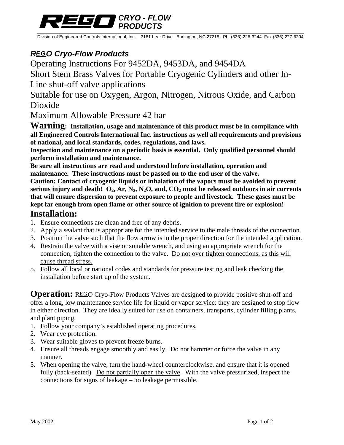#### *CRYO - FLOW PRODUCTS*

Division of Engineered Controls International, Inc. 3181 Lear Drive Burlington, NC 27215 Ph. (336) 226-3244 Fax (336) 227-6294

## *REGO Cryo-Flow Products*

Operating Instructions For 9452DA, 9453DA, and 9454DA

Short Stem Brass Valves for Portable Cryogenic Cylinders and other In-Line shut-off valve applications

Suitable for use on Oxygen, Argon, Nitrogen, Nitrous Oxide, and Carbon Dioxide

Maximum Allowable Pressure 42 bar

**Warning: Installation, usage and maintenance of this product must be in compliance with all Engineered Controls International Inc. instructions as well all requirements and provisions of national, and local standards, codes, regulations, and laws.** 

**Inspection and maintenance on a periodic basis is essential. Only qualified personnel should perform installation and maintenance.** 

**Be sure all instructions are read and understood before installation, operation and maintenance. These instructions must be passed on to the end user of the valve.** 

**Caution: Contact of cryogenic liquids or inhalation of the vapors must be avoided to prevent**  serious injury and death!  $O_2$ , Ar,  $N_2$ ,  $N_2O$ , and,  $CO_2$  must be released outdoors in air currents **that will ensure dispersion to prevent exposure to people and livestock. These gases must be kept far enough from open flame or other source of ignition to prevent fire or explosion!** 

#### **Installation:**

- 1. Ensure connections are clean and free of any debris.
- 2. Apply a sealant that is appropriate for the intended service to the male threads of the connection.
- 3. Position the valve such that the flow arrow is in the proper direction for the intended application.
- 4. Restrain the valve with a vise or suitable wrench, and using an appropriate wrench for the connection, tighten the connection to the valve. Do not over tighten connections, as this will cause thread stress.
- 5. Follow all local or national codes and standards for pressure testing and leak checking the installation before start up of the system.

**Operation:** REGO Cryo-Flow Products Valves are designed to provide positive shut-off and offer a long, low maintenance service life for liquid or vapor service: they are designed to stop flow in either direction. They are ideally suited for use on containers, transports, cylinder filling plants, and plant piping.

- 1. Follow your company's established operating procedures.
- 2. Wear eye protection.
- 3. Wear suitable gloves to prevent freeze burns.
- 4. Ensure all threads engage smoothly and easily. Do not hammer or force the valve in any manner.
- 5. When opening the valve, turn the hand-wheel counterclockwise, and ensure that it is opened fully (back-seated). Do not partially open the valve. With the valve pressurized, inspect the connections for signs of leakage – no leakage permissible.